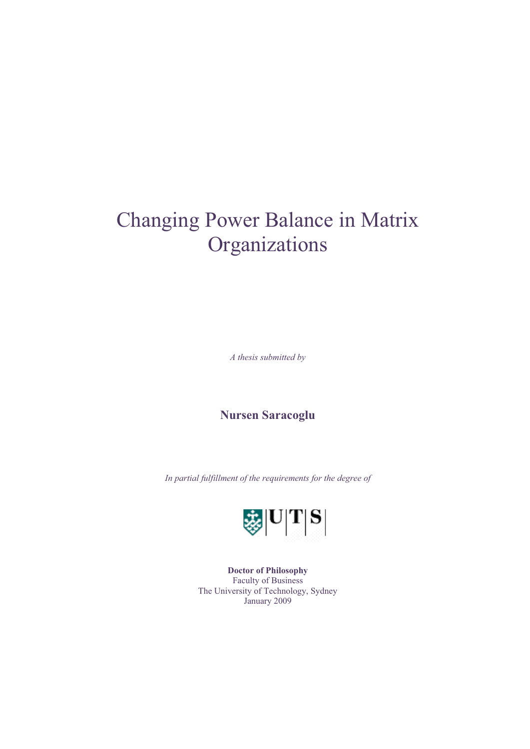# Changing Power Balance in Matrix **Organizations**

*A thesis submitted by*

**Nursen Saracoglu** 

*In partial fulfillment of the requirements for the degree of* 



**Doctor of Philosophy**  Faculty of Business The University of Technology, Sydney January 2009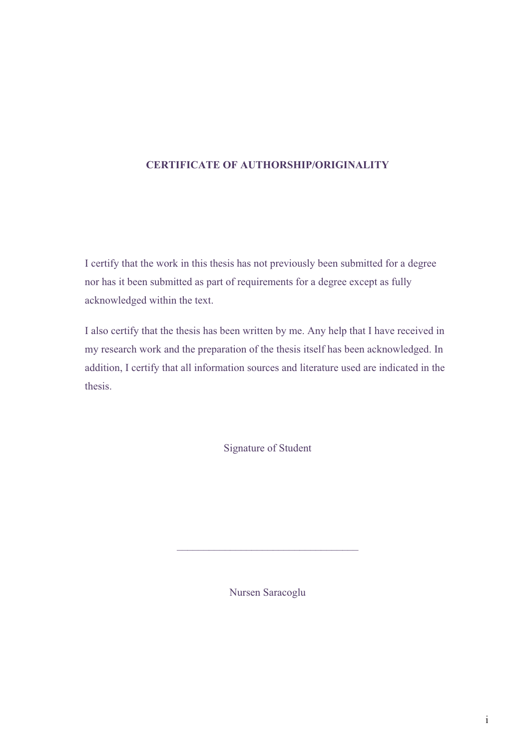#### **CERTIFICATE OF AUTHORSHIP/ORIGINALITY**

I certify that the work in this thesis has not previously been submitted for a degree nor has it been submitted as part of requirements for a degree except as fully acknowledged within the text.

I also certify that the thesis has been written by me. Any help that I have received in my research work and the preparation of the thesis itself has been acknowledged. In addition, I certify that all information sources and literature used are indicated in the thesis.

Signature of Student

Nursen Saracoglu

 $\mathcal{L}_\mathcal{L}$  , where  $\mathcal{L}_\mathcal{L}$  is the set of the set of the set of the set of the set of the set of the set of the set of the set of the set of the set of the set of the set of the set of the set of the set of the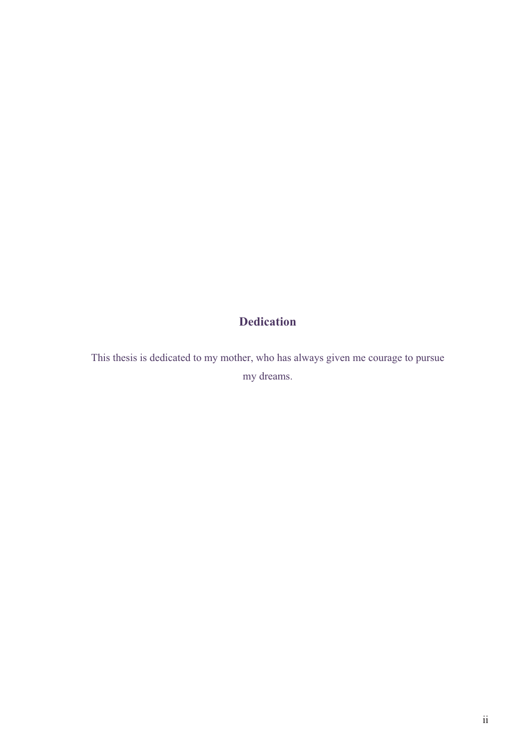## **Dedication**

This thesis is dedicated to my mother, who has always given me courage to pursue my dreams.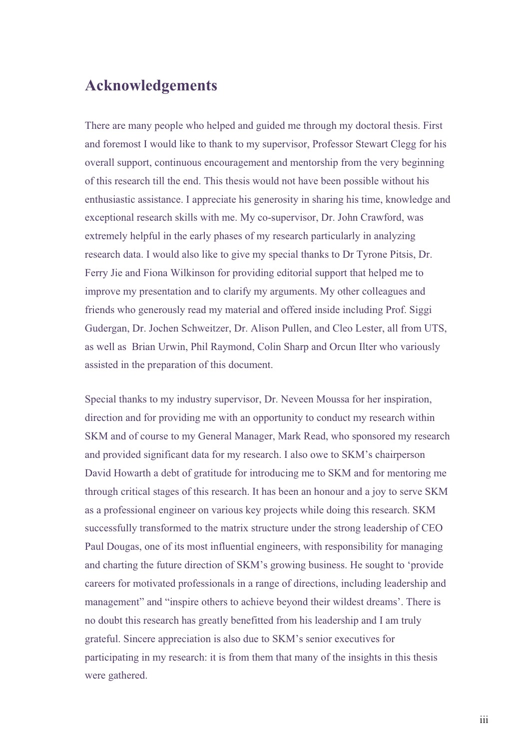### **Acknowledgements**

There are many people who helped and guided me through my doctoral thesis. First and foremost I would like to thank to my supervisor, Professor Stewart Clegg for his overall support, continuous encouragement and mentorship from the very beginning of this research till the end. This thesis would not have been possible without his enthusiastic assistance. I appreciate his generosity in sharing his time, knowledge and exceptional research skills with me. My co-supervisor, Dr. John Crawford, was extremely helpful in the early phases of my research particularly in analyzing research data. I would also like to give my special thanks to Dr Tyrone Pitsis, Dr. Ferry Jie and Fiona Wilkinson for providing editorial support that helped me to improve my presentation and to clarify my arguments. My other colleagues and friends who generously read my material and offered inside including Prof. Siggi Gudergan, Dr. Jochen Schweitzer, Dr. Alison Pullen, and Cleo Lester, all from UTS, as well as Brian Urwin, Phil Raymond, Colin Sharp and Orcun Ilter who variously assisted in the preparation of this document.

Special thanks to my industry supervisor, Dr. Neveen Moussa for her inspiration, direction and for providing me with an opportunity to conduct my research within SKM and of course to my General Manager, Mark Read, who sponsored my research and provided significant data for my research. I also owe to SKM's chairperson David Howarth a debt of gratitude for introducing me to SKM and for mentoring me through critical stages of this research. It has been an honour and a joy to serve SKM as a professional engineer on various key projects while doing this research. SKM successfully transformed to the matrix structure under the strong leadership of CEO Paul Dougas, one of its most influential engineers, with responsibility for managing and charting the future direction of SKM's growing business. He sought to 'provide careers for motivated professionals in a range of directions, including leadership and management" and "inspire others to achieve beyond their wildest dreams'. There is no doubt this research has greatly benefitted from his leadership and I am truly grateful. Sincere appreciation is also due to SKM's senior executives for participating in my research: it is from them that many of the insights in this thesis were gathered.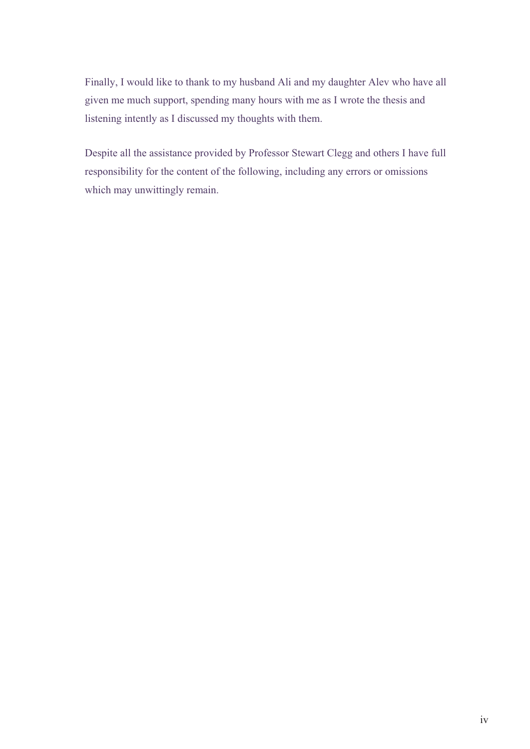Finally, I would like to thank to my husband Ali and my daughter Alev who have all given me much support, spending many hours with me as I wrote the thesis and listening intently as I discussed my thoughts with them.

Despite all the assistance provided by Professor Stewart Clegg and others I have full responsibility for the content of the following, including any errors or omissions which may unwittingly remain.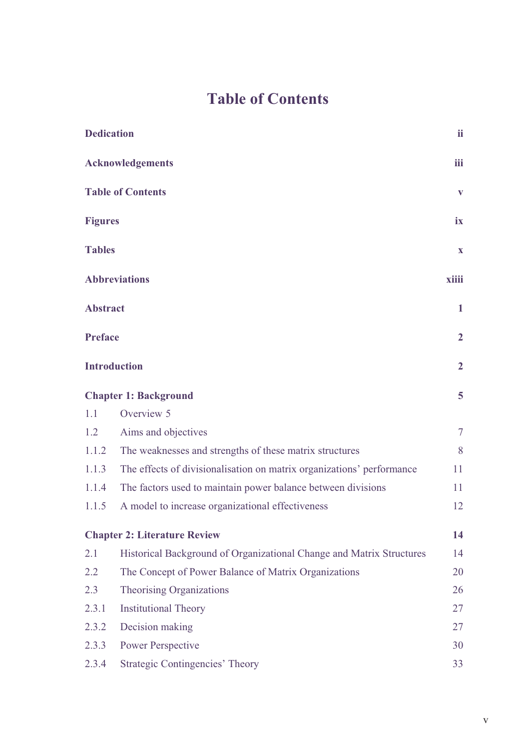# **Table of Contents**

| <b>Dedication</b>        |                                                                       | ii             |
|--------------------------|-----------------------------------------------------------------------|----------------|
|                          | <b>Acknowledgements</b>                                               | iii            |
| <b>Table of Contents</b> |                                                                       | $\mathbf{V}$   |
| <b>Figures</b>           |                                                                       | ix             |
| <b>Tables</b>            |                                                                       | $\mathbf{X}$   |
|                          | <b>Abbreviations</b>                                                  | xiiii          |
| <b>Abstract</b>          |                                                                       | $\mathbf{1}$   |
| <b>Preface</b>           |                                                                       | $\overline{2}$ |
|                          | <b>Introduction</b>                                                   | $\overline{2}$ |
|                          | <b>Chapter 1: Background</b>                                          | 5              |
| 1.1                      | Overview 5                                                            |                |
| 1.2                      | Aims and objectives                                                   | $\overline{7}$ |
| 1.1.2                    | The weaknesses and strengths of these matrix structures               | 8              |
| 1.1.3                    | The effects of divisionalisation on matrix organizations' performance | 11             |
| 1.1.4                    | The factors used to maintain power balance between divisions          | 11             |
| 1.1.5                    | A model to increase organizational effectiveness                      | 12             |
|                          | <b>Chapter 2: Literature Review</b>                                   | 14             |
| 2.1                      | Historical Background of Organizational Change and Matrix Structures  | 14             |
| 2.2                      | The Concept of Power Balance of Matrix Organizations                  | 20             |
| 2.3                      | Theorising Organizations                                              | 26             |
| 2.3.1                    | <b>Institutional Theory</b>                                           | 27             |
| 2.3.2                    | Decision making                                                       | 27             |
| 2.3.3                    | <b>Power Perspective</b>                                              | 30             |
| 2.3.4                    | <b>Strategic Contingencies' Theory</b>                                | 33             |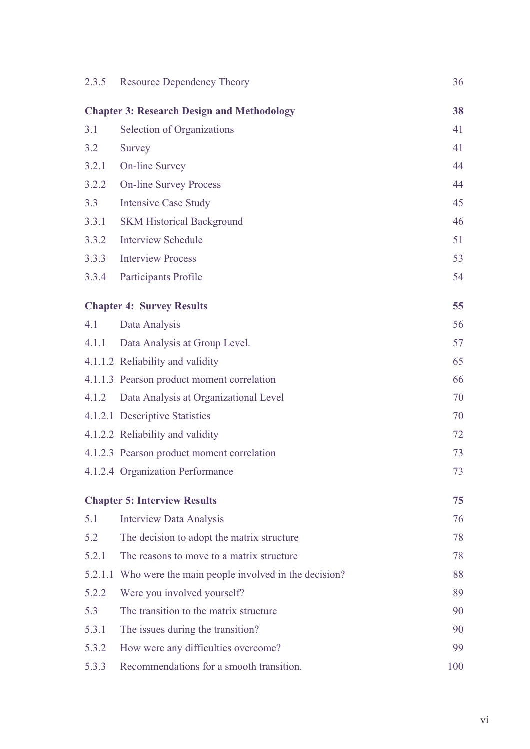| 2.3.5   | <b>Resource Dependency Theory</b>                  | 36  |
|---------|----------------------------------------------------|-----|
|         | <b>Chapter 3: Research Design and Methodology</b>  | 38  |
| 3.1     | Selection of Organizations                         | 41  |
| 3.2     | Survey                                             | 41  |
| 3.2.1   | <b>On-line Survey</b>                              | 44  |
| 3.2.2   | <b>On-line Survey Process</b>                      | 44  |
| 3.3     | <b>Intensive Case Study</b>                        | 45  |
| 3.3.1   | <b>SKM Historical Background</b>                   | 46  |
| 3.3.2   | <b>Interview Schedule</b>                          | 51  |
| 3.3.3   | <b>Interview Process</b>                           | 53  |
| 3.3.4   | Participants Profile                               | 54  |
|         |                                                    |     |
|         | <b>Chapter 4: Survey Results</b>                   | 55  |
| 4.1     | Data Analysis                                      | 56  |
| 4.1.1   | Data Analysis at Group Level.                      | 57  |
|         | 4.1.1.2 Reliability and validity                   | 65  |
|         | 4.1.1.3 Pearson product moment correlation         | 66  |
| 4.1.2   | Data Analysis at Organizational Level              | 70  |
|         | 4.1.2.1 Descriptive Statistics                     | 70  |
|         | 4.1.2.2 Reliability and validity                   | 72  |
|         | 4.1.2.3 Pearson product moment correlation         | 73  |
|         | 4.1.2.4 Organization Performance                   | 73  |
|         | <b>Chapter 5: Interview Results</b>                | 75  |
| 5.1     | <b>Interview Data Analysis</b>                     | 76  |
| 5.2     | The decision to adopt the matrix structure         | 78  |
| 5.2.1   | The reasons to move to a matrix structure          | 78  |
| 5.2.1.1 | Who were the main people involved in the decision? | 88  |
| 5.2.2   | Were you involved yourself?                        | 89  |
| 5.3     | The transition to the matrix structure             | 90  |
| 5.3.1   | The issues during the transition?                  | 90  |
| 5.3.2   | How were any difficulties overcome?                | 99  |
| 5.3.3   | Recommendations for a smooth transition.           | 100 |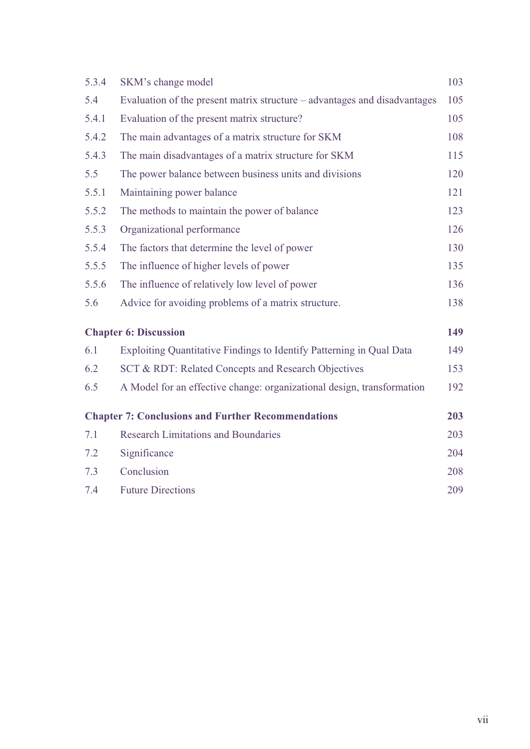| 5.3.4 | SKM's change model                                                        | 103 |
|-------|---------------------------------------------------------------------------|-----|
| 5.4   | Evaluation of the present matrix structure – advantages and disadvantages | 105 |
| 5.4.1 | Evaluation of the present matrix structure?                               | 105 |
| 5.4.2 | The main advantages of a matrix structure for SKM                         | 108 |
| 5.4.3 | The main disadvantages of a matrix structure for SKM                      | 115 |
| 5.5   | The power balance between business units and divisions                    | 120 |
| 5.5.1 | Maintaining power balance                                                 | 121 |
| 5.5.2 | The methods to maintain the power of balance                              | 123 |
| 5.5.3 | Organizational performance                                                | 126 |
| 5.5.4 | The factors that determine the level of power                             | 130 |
| 5.5.5 | The influence of higher levels of power                                   | 135 |
| 5.5.6 | The influence of relatively low level of power                            | 136 |
| 5.6   | Advice for avoiding problems of a matrix structure.                       | 138 |
|       | <b>Chapter 6: Discussion</b>                                              | 149 |
| 6.1   | Exploiting Quantitative Findings to Identify Patterning in Qual Data      | 149 |
| 6.2   | SCT & RDT: Related Concepts and Research Objectives                       | 153 |
| 6.5   | A Model for an effective change: organizational design, transformation    | 192 |
|       | <b>Chapter 7: Conclusions and Further Recommendations</b>                 | 203 |
| 7.1   | <b>Research Limitations and Boundaries</b>                                | 203 |
| 7.2   | Significance                                                              | 204 |
| 7.3   | Conclusion                                                                | 208 |
| 7.4   | <b>Future Directions</b>                                                  | 209 |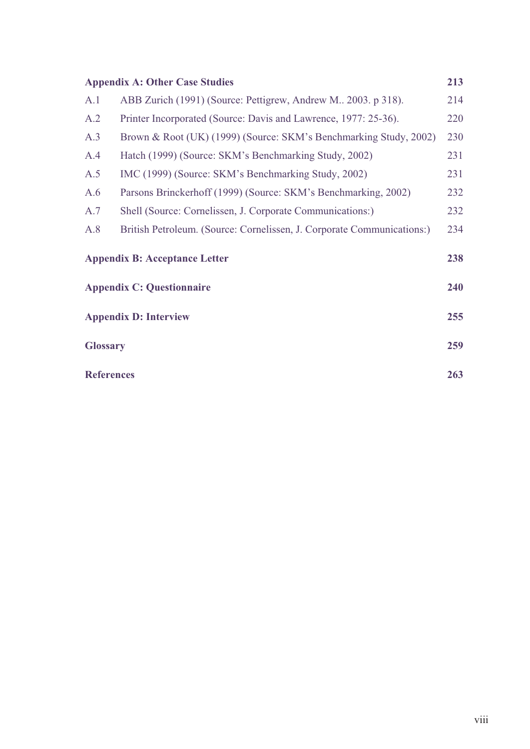|                   | <b>Appendix A: Other Case Studies</b>                                  | 213 |
|-------------------|------------------------------------------------------------------------|-----|
| A.1               | ABB Zurich (1991) (Source: Pettigrew, Andrew M., 2003, p 318).         | 214 |
| A.2               | Printer Incorporated (Source: Davis and Lawrence, 1977: 25-36).        | 220 |
| A.3               | Brown & Root (UK) (1999) (Source: SKM's Benchmarking Study, 2002)      | 230 |
| A.4               | Hatch (1999) (Source: SKM's Benchmarking Study, 2002)                  | 231 |
| A.5               | IMC (1999) (Source: SKM's Benchmarking Study, 2002)                    | 231 |
| A.6               | Parsons Brinckerhoff (1999) (Source: SKM's Benchmarking, 2002)         | 232 |
| A.7               | Shell (Source: Cornelissen, J. Corporate Communications:)              | 232 |
| A.8               | British Petroleum. (Source: Cornelissen, J. Corporate Communications:) | 234 |
|                   | <b>Appendix B: Acceptance Letter</b>                                   | 238 |
|                   | <b>Appendix C: Questionnaire</b>                                       | 240 |
|                   | <b>Appendix D: Interview</b>                                           | 255 |
| <b>Glossary</b>   |                                                                        | 259 |
| <b>References</b> |                                                                        | 263 |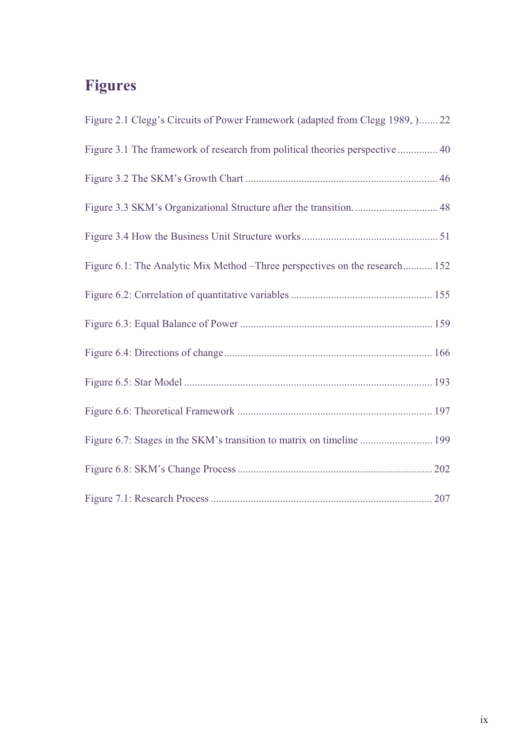# **Figures**

| Figure 2.1 Clegg's Circuits of Power Framework (adapted from Clegg 1989, ) 22 |
|-------------------------------------------------------------------------------|
| Figure 3.1 The framework of research from political theories perspective  40  |
|                                                                               |
|                                                                               |
|                                                                               |
| Figure 6.1: The Analytic Mix Method – Three perspectives on the research 152  |
|                                                                               |
|                                                                               |
|                                                                               |
|                                                                               |
|                                                                               |
| Figure 6.7: Stages in the SKM's transition to matrix on timeline  199         |
|                                                                               |
|                                                                               |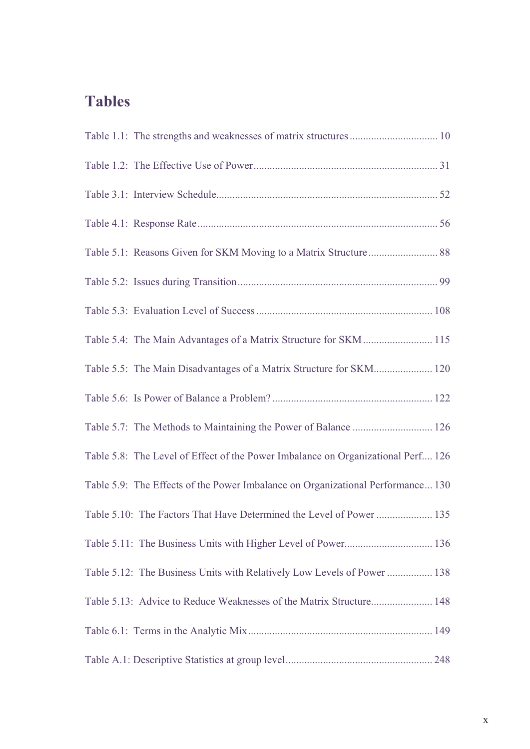## **Tables**

| Table 5.4: The Main Advantages of a Matrix Structure for SKM 115                 |
|----------------------------------------------------------------------------------|
| Table 5.5: The Main Disadvantages of a Matrix Structure for SKM 120              |
|                                                                                  |
| Table 5.7: The Methods to Maintaining the Power of Balance  126                  |
| Table 5.8: The Level of Effect of the Power Imbalance on Organizational Perf 126 |
| Table 5.9: The Effects of the Power Imbalance on Organizational Performance 130  |
| Table 5.10: The Factors That Have Determined the Level of Power  135             |
|                                                                                  |
| Table 5.12: The Business Units with Relatively Low Levels of Power  138          |
| Table 5.13: Advice to Reduce Weaknesses of the Matrix Structure 148              |
|                                                                                  |
|                                                                                  |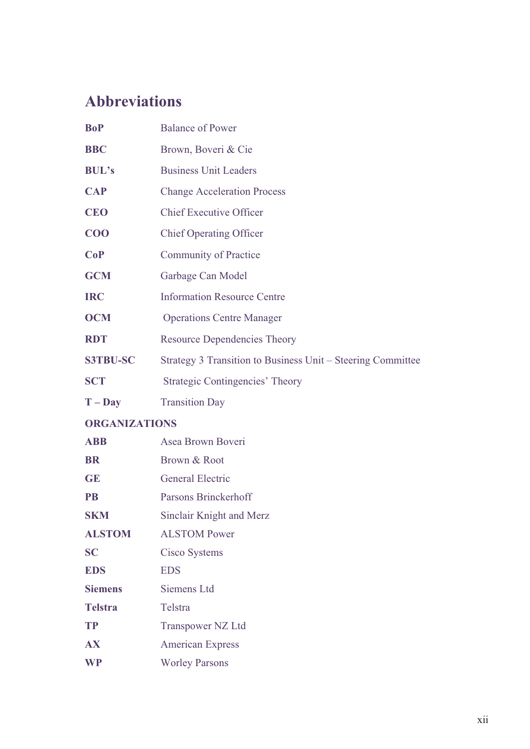# **Abbreviations**

| <b>BoP</b>           | <b>Balance of Power</b>                                     |
|----------------------|-------------------------------------------------------------|
| <b>BBC</b>           | Brown, Boveri & Cie                                         |
| <b>BUL's</b>         | <b>Business Unit Leaders</b>                                |
| <b>CAP</b>           | <b>Change Acceleration Process</b>                          |
| <b>CEO</b>           | <b>Chief Executive Officer</b>                              |
| $COO$                | <b>Chief Operating Officer</b>                              |
| CoP                  | <b>Community of Practice</b>                                |
| <b>GCM</b>           | Garbage Can Model                                           |
| <b>IRC</b>           | <b>Information Resource Centre</b>                          |
| <b>OCM</b>           | <b>Operations Centre Manager</b>                            |
| <b>RDT</b>           | <b>Resource Dependencies Theory</b>                         |
| <b>S3TBU-SC</b>      | Strategy 3 Transition to Business Unit – Steering Committee |
| <b>SCT</b>           | <b>Strategic Contingencies' Theory</b>                      |
| $T - Day$            | <b>Transition Day</b>                                       |
| <b>ORGANIZATIONS</b> |                                                             |
| <b>ABB</b>           | Asea Brown Boveri                                           |
| <b>BR</b>            | Brown & Root                                                |
| <b>GE</b>            | <b>General Electric</b>                                     |
| <b>PB</b>            | Parsons Brinckerhoff                                        |
| <b>SKM</b>           | Sinclair Knight and Merz                                    |
| <b>ALSTOM</b>        | <b>ALSTOM Power</b>                                         |
| <b>SC</b>            | Cisco Systems                                               |
| <b>EDS</b>           | <b>EDS</b>                                                  |
|                      |                                                             |
| <b>Siemens</b>       | Siemens Ltd                                                 |
| <b>Telstra</b>       | Telstra                                                     |
| <b>TP</b>            | Transpower NZ Ltd                                           |
| <b>AX</b>            | <b>American Express</b>                                     |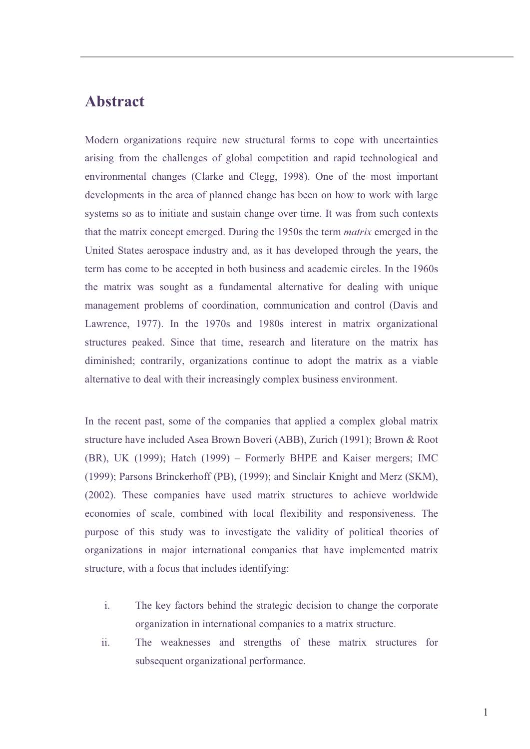#### **Abstract**

Modern organizations require new structural forms to cope with uncertainties arising from the challenges of global competition and rapid technological and environmental changes (Clarke and Clegg, 1998). One of the most important developments in the area of planned change has been on how to work with large systems so as to initiate and sustain change over time. It was from such contexts that the matrix concept emerged. During the 1950s the term *matrix* emerged in the United States aerospace industry and, as it has developed through the years, the term has come to be accepted in both business and academic circles. In the 1960s the matrix was sought as a fundamental alternative for dealing with unique management problems of coordination, communication and control (Davis and Lawrence, 1977). In the 1970s and 1980s interest in matrix organizational structures peaked. Since that time, research and literature on the matrix has diminished; contrarily, organizations continue to adopt the matrix as a viable alternative to deal with their increasingly complex business environment.

In the recent past, some of the companies that applied a complex global matrix structure have included Asea Brown Boveri (ABB), Zurich (1991); Brown & Root (BR), UK (1999); Hatch (1999) – Formerly BHPE and Kaiser mergers; IMC (1999); Parsons Brinckerhoff (PB), (1999); and Sinclair Knight and Merz (SKM), (2002). These companies have used matrix structures to achieve worldwide economies of scale, combined with local flexibility and responsiveness. The purpose of this study was to investigate the validity of political theories of organizations in major international companies that have implemented matrix structure, with a focus that includes identifying:

- i. The key factors behind the strategic decision to change the corporate organization in international companies to a matrix structure.
- ii. The weaknesses and strengths of these matrix structures for subsequent organizational performance.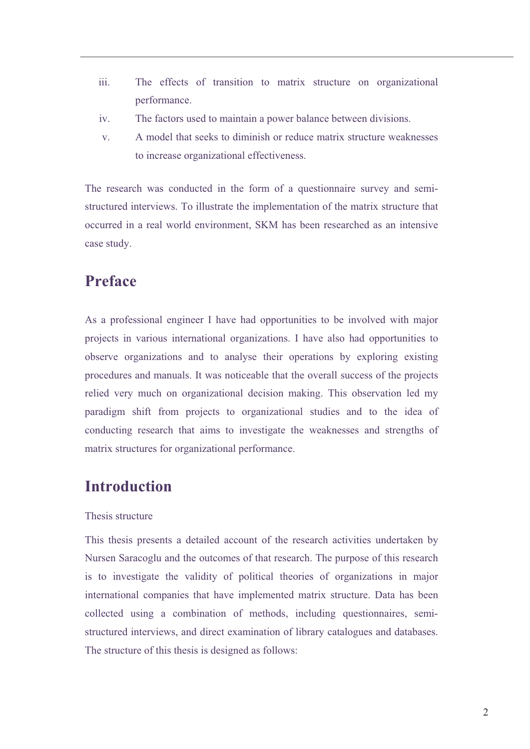- iii. The effects of transition to matrix structure on organizational performance.
- iv. The factors used to maintain a power balance between divisions.
- v. A model that seeks to diminish or reduce matrix structure weaknesses to increase organizational effectiveness.

The research was conducted in the form of a questionnaire survey and semistructured interviews. To illustrate the implementation of the matrix structure that occurred in a real world environment, SKM has been researched as an intensive case study.

### **Preface**

As a professional engineer I have had opportunities to be involved with major projects in various international organizations. I have also had opportunities to observe organizations and to analyse their operations by exploring existing procedures and manuals. It was noticeable that the overall success of the projects relied very much on organizational decision making. This observation led my paradigm shift from projects to organizational studies and to the idea of conducting research that aims to investigate the weaknesses and strengths of matrix structures for organizational performance.

## **Introduction**

#### Thesis structure

This thesis presents a detailed account of the research activities undertaken by Nursen Saracoglu and the outcomes of that research. The purpose of this research is to investigate the validity of political theories of organizations in major international companies that have implemented matrix structure. Data has been collected using a combination of methods, including questionnaires, semistructured interviews, and direct examination of library catalogues and databases. The structure of this thesis is designed as follows: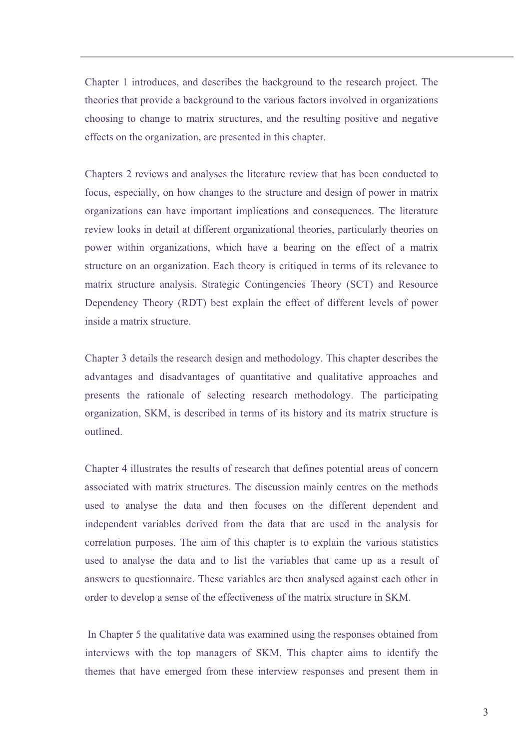Chapter 1 introduces, and describes the background to the research project. The theories that provide a background to the various factors involved in organizations choosing to change to matrix structures, and the resulting positive and negative effects on the organization, are presented in this chapter.

Chapters 2 reviews and analyses the literature review that has been conducted to focus, especially, on how changes to the structure and design of power in matrix organizations can have important implications and consequences. The literature review looks in detail at different organizational theories, particularly theories on power within organizations, which have a bearing on the effect of a matrix structure on an organization. Each theory is critiqued in terms of its relevance to matrix structure analysis. Strategic Contingencies Theory (SCT) and Resource Dependency Theory (RDT) best explain the effect of different levels of power inside a matrix structure.

Chapter 3 details the research design and methodology. This chapter describes the advantages and disadvantages of quantitative and qualitative approaches and presents the rationale of selecting research methodology. The participating organization, SKM, is described in terms of its history and its matrix structure is outlined.

Chapter 4 illustrates the results of research that defines potential areas of concern associated with matrix structures. The discussion mainly centres on the methods used to analyse the data and then focuses on the different dependent and independent variables derived from the data that are used in the analysis for correlation purposes. The aim of this chapter is to explain the various statistics used to analyse the data and to list the variables that came up as a result of answers to questionnaire. These variables are then analysed against each other in order to develop a sense of the effectiveness of the matrix structure in SKM.

 In Chapter 5 the qualitative data was examined using the responses obtained from interviews with the top managers of SKM. This chapter aims to identify the themes that have emerged from these interview responses and present them in